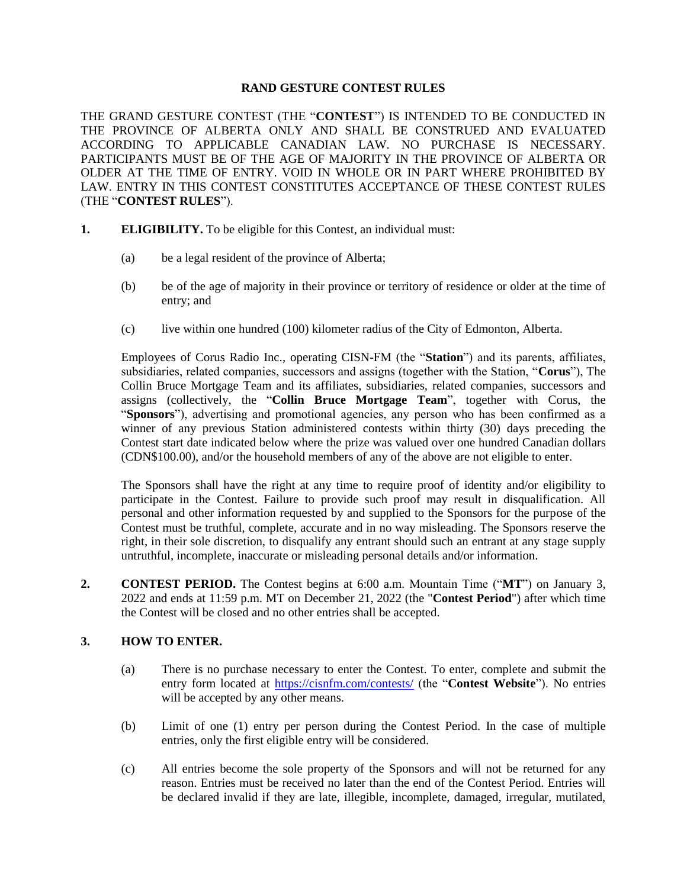#### **RAND GESTURE CONTEST RULES**

THE GRAND GESTURE CONTEST (THE "**CONTEST**") IS INTENDED TO BE CONDUCTED IN THE PROVINCE OF ALBERTA ONLY AND SHALL BE CONSTRUED AND EVALUATED ACCORDING TO APPLICABLE CANADIAN LAW. NO PURCHASE IS NECESSARY. PARTICIPANTS MUST BE OF THE AGE OF MAJORITY IN THE PROVINCE OF ALBERTA OR OLDER AT THE TIME OF ENTRY. VOID IN WHOLE OR IN PART WHERE PROHIBITED BY LAW. ENTRY IN THIS CONTEST CONSTITUTES ACCEPTANCE OF THESE CONTEST RULES (THE "**CONTEST RULES**").

- **1. ELIGIBILITY.** To be eligible for this Contest, an individual must:
	- (a) be a legal resident of the province of Alberta;
	- (b) be of the age of majority in their province or territory of residence or older at the time of entry; and
	- (c) live within one hundred (100) kilometer radius of the City of Edmonton, Alberta.

Employees of Corus Radio Inc., operating CISN-FM (the "**Station**") and its parents, affiliates, subsidiaries, related companies, successors and assigns (together with the Station, "**Corus**"), The Collin Bruce Mortgage Team and its affiliates, subsidiaries, related companies, successors and assigns (collectively, the "**Collin Bruce Mortgage Team**", together with Corus, the "**Sponsors**"), advertising and promotional agencies, any person who has been confirmed as a winner of any previous Station administered contests within thirty (30) days preceding the Contest start date indicated below where the prize was valued over one hundred Canadian dollars (CDN\$100.00), and/or the household members of any of the above are not eligible to enter.

The Sponsors shall have the right at any time to require proof of identity and/or eligibility to participate in the Contest. Failure to provide such proof may result in disqualification. All personal and other information requested by and supplied to the Sponsors for the purpose of the Contest must be truthful, complete, accurate and in no way misleading. The Sponsors reserve the right, in their sole discretion, to disqualify any entrant should such an entrant at any stage supply untruthful, incomplete, inaccurate or misleading personal details and/or information.

**2. CONTEST PERIOD.** The Contest begins at 6:00 a.m. Mountain Time ("**MT**") on January 3, 2022 and ends at 11:59 p.m. MT on December 21, 2022 (the "**Contest Period**") after which time the Contest will be closed and no other entries shall be accepted.

### **3. HOW TO ENTER.**

- (a) There is no purchase necessary to enter the Contest. To enter, complete and submit the entry form located at<https://cisnfm.com/contests/> (the "**Contest Website**"). No entries will be accepted by any other means.
- (b) Limit of one (1) entry per person during the Contest Period. In the case of multiple entries, only the first eligible entry will be considered.
- (c) All entries become the sole property of the Sponsors and will not be returned for any reason. Entries must be received no later than the end of the Contest Period. Entries will be declared invalid if they are late, illegible, incomplete, damaged, irregular, mutilated,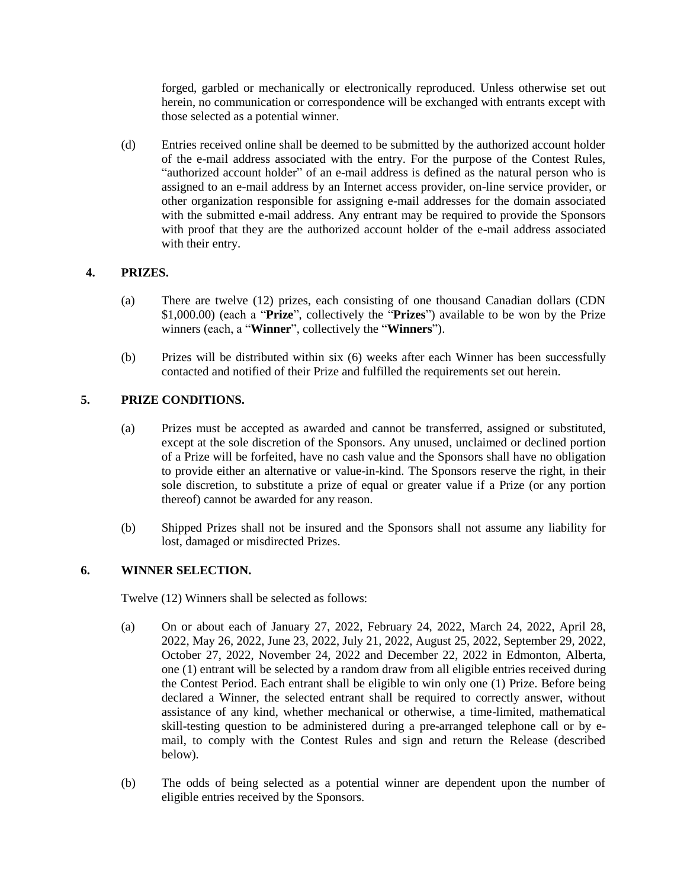forged, garbled or mechanically or electronically reproduced. Unless otherwise set out herein, no communication or correspondence will be exchanged with entrants except with those selected as a potential winner.

(d) Entries received online shall be deemed to be submitted by the authorized account holder of the e-mail address associated with the entry. For the purpose of the Contest Rules, "authorized account holder" of an e-mail address is defined as the natural person who is assigned to an e-mail address by an Internet access provider, on-line service provider, or other organization responsible for assigning e-mail addresses for the domain associated with the submitted e-mail address. Any entrant may be required to provide the Sponsors with proof that they are the authorized account holder of the e-mail address associated with their entry.

## **4. PRIZES.**

- (a) There are twelve (12) prizes, each consisting of one thousand Canadian dollars (CDN \$1,000.00) (each a "**Prize**", collectively the "**Prizes**") available to be won by the Prize winners (each, a "**Winner**", collectively the "**Winners**").
- (b) Prizes will be distributed within six (6) weeks after each Winner has been successfully contacted and notified of their Prize and fulfilled the requirements set out herein.

# **5. PRIZE CONDITIONS.**

- (a) Prizes must be accepted as awarded and cannot be transferred, assigned or substituted, except at the sole discretion of the Sponsors. Any unused, unclaimed or declined portion of a Prize will be forfeited, have no cash value and the Sponsors shall have no obligation to provide either an alternative or value-in-kind. The Sponsors reserve the right, in their sole discretion, to substitute a prize of equal or greater value if a Prize (or any portion thereof) cannot be awarded for any reason.
- (b) Shipped Prizes shall not be insured and the Sponsors shall not assume any liability for lost, damaged or misdirected Prizes.

### **6. WINNER SELECTION.**

Twelve (12) Winners shall be selected as follows:

- (a) On or about each of January 27, 2022, February 24, 2022, March 24, 2022, April 28, 2022, May 26, 2022, June 23, 2022, July 21, 2022, August 25, 2022, September 29, 2022, October 27, 2022, November 24, 2022 and December 22, 2022 in Edmonton, Alberta, one (1) entrant will be selected by a random draw from all eligible entries received during the Contest Period. Each entrant shall be eligible to win only one (1) Prize. Before being declared a Winner, the selected entrant shall be required to correctly answer, without assistance of any kind, whether mechanical or otherwise, a time-limited, mathematical skill-testing question to be administered during a pre-arranged telephone call or by email, to comply with the Contest Rules and sign and return the Release (described below).
- (b) The odds of being selected as a potential winner are dependent upon the number of eligible entries received by the Sponsors.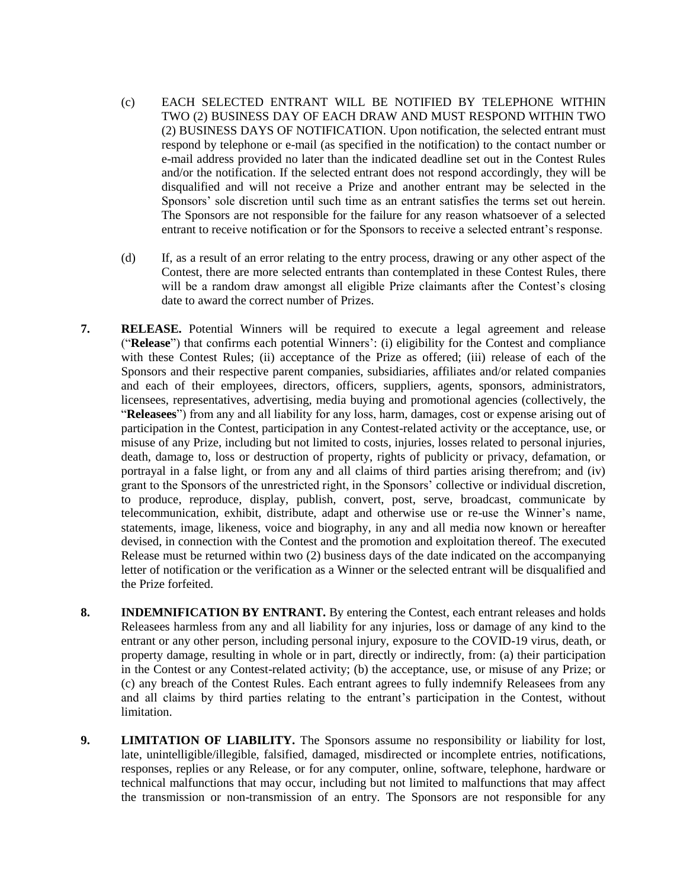- (c) EACH SELECTED ENTRANT WILL BE NOTIFIED BY TELEPHONE WITHIN TWO (2) BUSINESS DAY OF EACH DRAW AND MUST RESPOND WITHIN TWO (2) BUSINESS DAYS OF NOTIFICATION. Upon notification, the selected entrant must respond by telephone or e-mail (as specified in the notification) to the contact number or e-mail address provided no later than the indicated deadline set out in the Contest Rules and/or the notification. If the selected entrant does not respond accordingly, they will be disqualified and will not receive a Prize and another entrant may be selected in the Sponsors' sole discretion until such time as an entrant satisfies the terms set out herein. The Sponsors are not responsible for the failure for any reason whatsoever of a selected entrant to receive notification or for the Sponsors to receive a selected entrant's response.
- (d) If, as a result of an error relating to the entry process, drawing or any other aspect of the Contest, there are more selected entrants than contemplated in these Contest Rules, there will be a random draw amongst all eligible Prize claimants after the Contest's closing date to award the correct number of Prizes.
- **7. RELEASE.** Potential Winners will be required to execute a legal agreement and release ("**Release**") that confirms each potential Winners': (i) eligibility for the Contest and compliance with these Contest Rules; (ii) acceptance of the Prize as offered; (iii) release of each of the Sponsors and their respective parent companies, subsidiaries, affiliates and/or related companies and each of their employees, directors, officers, suppliers, agents, sponsors, administrators, licensees, representatives, advertising, media buying and promotional agencies (collectively, the "**Releasees**") from any and all liability for any loss, harm, damages, cost or expense arising out of participation in the Contest, participation in any Contest-related activity or the acceptance, use, or misuse of any Prize, including but not limited to costs, injuries, losses related to personal injuries, death, damage to, loss or destruction of property, rights of publicity or privacy, defamation, or portrayal in a false light, or from any and all claims of third parties arising therefrom; and (iv) grant to the Sponsors of the unrestricted right, in the Sponsors' collective or individual discretion, to produce, reproduce, display, publish, convert, post, serve, broadcast, communicate by telecommunication, exhibit, distribute, adapt and otherwise use or re-use the Winner's name, statements, image, likeness, voice and biography, in any and all media now known or hereafter devised, in connection with the Contest and the promotion and exploitation thereof. The executed Release must be returned within two (2) business days of the date indicated on the accompanying letter of notification or the verification as a Winner or the selected entrant will be disqualified and the Prize forfeited.
- **8. INDEMNIFICATION BY ENTRANT.** By entering the Contest, each entrant releases and holds Releasees harmless from any and all liability for any injuries, loss or damage of any kind to the entrant or any other person, including personal injury, exposure to the COVID-19 virus, death, or property damage, resulting in whole or in part, directly or indirectly, from: (a) their participation in the Contest or any Contest-related activity; (b) the acceptance, use, or misuse of any Prize; or (c) any breach of the Contest Rules. Each entrant agrees to fully indemnify Releasees from any and all claims by third parties relating to the entrant's participation in the Contest, without **limitation**
- **9. LIMITATION OF LIABILITY.** The Sponsors assume no responsibility or liability for lost, late, unintelligible/illegible, falsified, damaged, misdirected or incomplete entries, notifications, responses, replies or any Release, or for any computer, online, software, telephone, hardware or technical malfunctions that may occur, including but not limited to malfunctions that may affect the transmission or non-transmission of an entry. The Sponsors are not responsible for any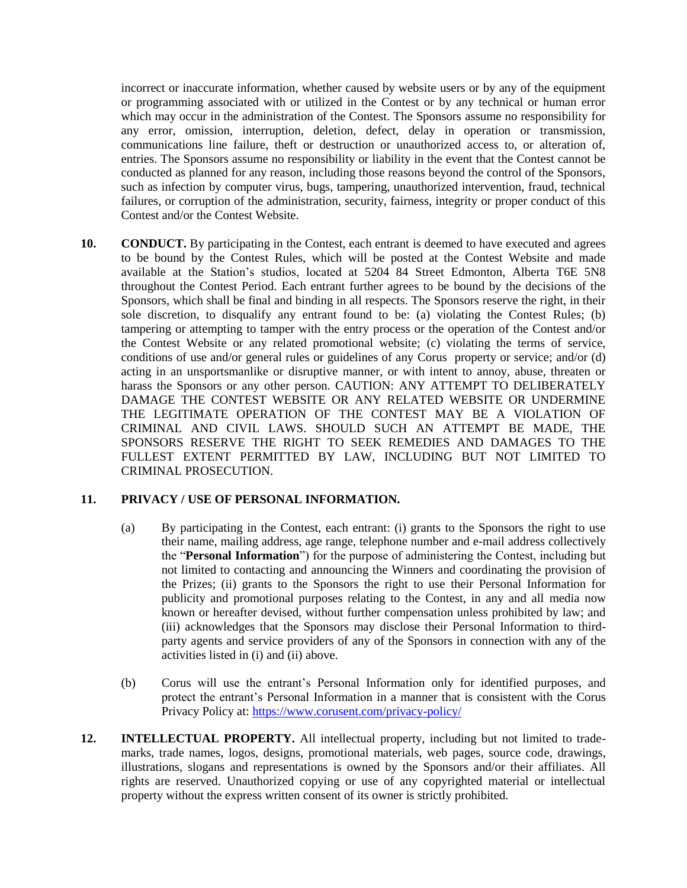incorrect or inaccurate information, whether caused by website users or by any of the equipment or programming associated with or utilized in the Contest or by any technical or human error which may occur in the administration of the Contest. The Sponsors assume no responsibility for any error, omission, interruption, deletion, defect, delay in operation or transmission, communications line failure, theft or destruction or unauthorized access to, or alteration of, entries. The Sponsors assume no responsibility or liability in the event that the Contest cannot be conducted as planned for any reason, including those reasons beyond the control of the Sponsors, such as infection by computer virus, bugs, tampering, unauthorized intervention, fraud, technical failures, or corruption of the administration, security, fairness, integrity or proper conduct of this Contest and/or the Contest Website.

**10. CONDUCT.** By participating in the Contest, each entrant is deemed to have executed and agrees to be bound by the Contest Rules, which will be posted at the Contest Website and made available at the Station's studios, located at 5204 84 Street Edmonton, Alberta T6E 5N8 throughout the Contest Period. Each entrant further agrees to be bound by the decisions of the Sponsors, which shall be final and binding in all respects. The Sponsors reserve the right, in their sole discretion, to disqualify any entrant found to be: (a) violating the Contest Rules; (b) tampering or attempting to tamper with the entry process or the operation of the Contest and/or the Contest Website or any related promotional website; (c) violating the terms of service, conditions of use and/or general rules or guidelines of any Corus property or service; and/or (d) acting in an unsportsmanlike or disruptive manner, or with intent to annoy, abuse, threaten or harass the Sponsors or any other person. CAUTION: ANY ATTEMPT TO DELIBERATELY DAMAGE THE CONTEST WEBSITE OR ANY RELATED WEBSITE OR UNDERMINE THE LEGITIMATE OPERATION OF THE CONTEST MAY BE A VIOLATION OF CRIMINAL AND CIVIL LAWS. SHOULD SUCH AN ATTEMPT BE MADE, THE SPONSORS RESERVE THE RIGHT TO SEEK REMEDIES AND DAMAGES TO THE FULLEST EXTENT PERMITTED BY LAW, INCLUDING BUT NOT LIMITED TO CRIMINAL PROSECUTION.

### **11. PRIVACY / USE OF PERSONAL INFORMATION.**

- (a) By participating in the Contest, each entrant: (i) grants to the Sponsors the right to use their name, mailing address, age range, telephone number and e-mail address collectively the "**Personal Information**") for the purpose of administering the Contest, including but not limited to contacting and announcing the Winners and coordinating the provision of the Prizes; (ii) grants to the Sponsors the right to use their Personal Information for publicity and promotional purposes relating to the Contest, in any and all media now known or hereafter devised, without further compensation unless prohibited by law; and (iii) acknowledges that the Sponsors may disclose their Personal Information to thirdparty agents and service providers of any of the Sponsors in connection with any of the activities listed in (i) and (ii) above.
- (b) Corus will use the entrant's Personal Information only for identified purposes, and protect the entrant's Personal Information in a manner that is consistent with the Corus Privacy Policy at: <https://www.corusent.com/privacy-policy/>
- **12. INTELLECTUAL PROPERTY.** All intellectual property, including but not limited to trademarks, trade names, logos, designs, promotional materials, web pages, source code, drawings, illustrations, slogans and representations is owned by the Sponsors and/or their affiliates. All rights are reserved. Unauthorized copying or use of any copyrighted material or intellectual property without the express written consent of its owner is strictly prohibited.